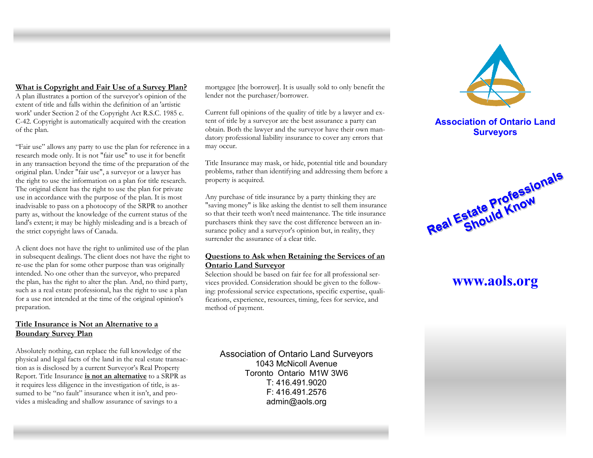#### **What is Copyright and Fair Use of a Survey Plan?**

A plan illustrates a portion of the surveyor's opinion of the extent of title and falls within the definition of an 'artistic work' under Section 2 of the Copyright Act R.S.C. 1985 c. C-42. Copyright is automatically acquired with the creation of the plan.

"Fair use" allows any party to use the plan for reference in a research mode only. It is not "fair use" to use it for benefit in any transaction beyond the time of the preparation of the original plan. Under "fair use", a surveyor or a lawyer has the right to use the information on a plan for title research. The original client has the right to use the plan for private use in accordance with the purpose of the plan. It is most inadvisable to pass on a photocopy of the SRPR to another party as, without the knowledge of the current status of the land's extent; it may be highly misleading and is a breach of the strict copyright laws of Canada.

A client does not have the right to unlimited use of the plan in subsequent dealings. The client does not have the right to re-use the plan for some other purpose than was originally intended. No one other than the surveyor, who prepared the plan, has the right to alter the plan. And, no third party, such as a real estate professional, has the right to use a plan for a use not intended at the time of the original opinion's preparation.

#### **Title Insurance is Not an Alternative to a Boundary Survey Plan**

Absolutely nothing, can replace the full knowledge of the physical and legal facts of the land in the real estate transaction as is disclosed by a current Surveyor's Real Property Report. Title Insurance **is not an alternative** to a SRPR as it requires less diligence in the investigation of title, is assumed to be "no fault" insurance when it isn't, and provides a misleading and shallow assurance of savings to a

mortgagee [the borrower]. It is usually sold to only benefit the lender not the purchaser/borrower.

Current full opinions of the quality of title by a lawyer and extent of title by a surveyor are the best assurance a party can obtain. Both the lawyer and the surveyor have their own mandatory professional liability insurance to cover any errors that may occur.

Title Insurance may mask, or hide, potential title and boundary problems, rather than identifying and addressing them before a property is acquired.

Any purchase of title insurance by a party thinking they are "saving money" is like asking the dentist to sell them insurance so that their teeth won't need maintenance. The title insurance purchasers think they save the cost difference between an insurance policy and a surveyor's opinion but, in reality, they surrender the assurance of a clear title.

#### **Questions to Ask when Retaining the Services of an Ontario Land Surveyor**

Selection should be based on fair fee for all professional services provided. Consideration should be given to the following: professional service expectations, specific expertise, qualifications, experience, resources, timing, fees for service, and method of payment.

Association of Ontario Land Surveyors 1043 McNicoll Avenue Toronto Ontario M1W 3W6 T: 416.491.9020 F: 416.491.2576 admin@aols.org



# **Association of Ontario Land Surveyors**



# **www.aols.org**